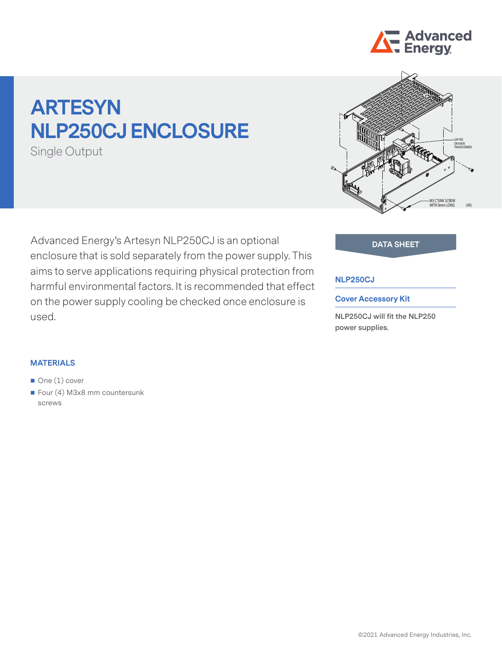

# **ARTESYN NLP250CJ ENCLOSURE**

Single Output

Advanced Energy's Artesyn NLP250CJ is an optional **DATA SHEET** enclosure that is sold separately from the power supply. This aims to serve applications requiring physical protection from harmful environmental factors. It is recommended that effect on the power supply cooling be checked once enclosure is used.



### **NLP250CJ**

#### **Cover Accessory Kit**

**NLP250CJ will fit the NLP250 power supplies.**

#### **MATERIALS**

- One (1) cover
- Four  $(4)$  M3x8 mm countersunk screws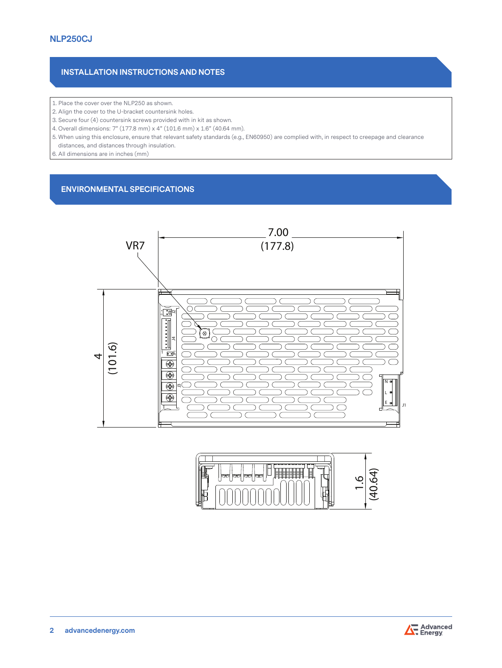## **INSTALLATION INSTRUCTIONS AND NOTES**

- 1. Place the cover over the NLP250 as shown.
- 2. Align the cover to the U-bracket countersink holes.
- 3. Secure four (4) countersink screws provided with in kit as shown.
- 4. Overall dimensions: 7" (177.8 mm) x 4" (101.6 mm) x 1.6" (40.64 mm).
- 5. When using this enclosure, ensure that relevant safety standards (e.g., EN60950) are complied with, in respect to creepage and clearance distances, and distances through insulation.
- 6. All dimensions are in inches (mm)

### **ENVIRONMENTAL SPECIFICATIONS**